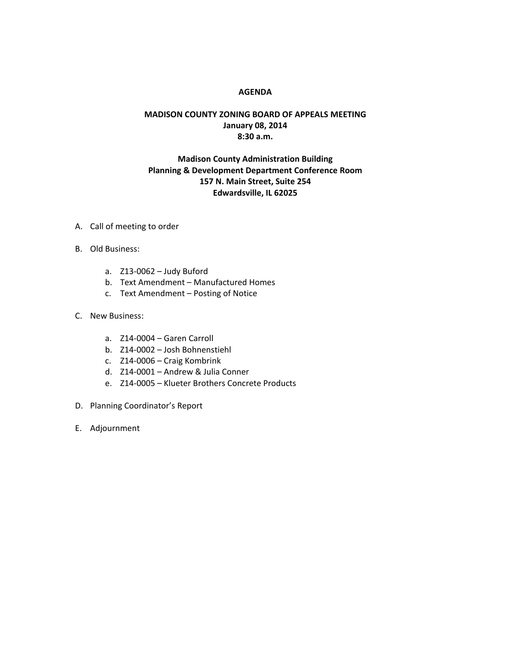## **AGENDA**

## **MADISON COUNTY ZONING BOARD OF APPEALS MEETING January 08, 2014 8:30 a.m.**

## **Madison County Administration Building Planning & Development Department Conference Room 157 N. Main Street, Suite 254 Edwardsville, IL 62025**

- A. Call of meeting to order
- B. Old Business:
	- a. Z13-0062 Judy Buford
	- b. Text Amendment Manufactured Homes
	- c. Text Amendment Posting of Notice
- C. New Business:
	- a. Z14-0004 Garen Carroll
	- b. Z14-0002 Josh Bohnenstiehl
	- c. Z14-0006 Craig Kombrink
	- d. Z14-0001 Andrew & Julia Conner
	- e. Z14-0005 Klueter Brothers Concrete Products
- D. Planning Coordinator's Report
- E. Adjournment